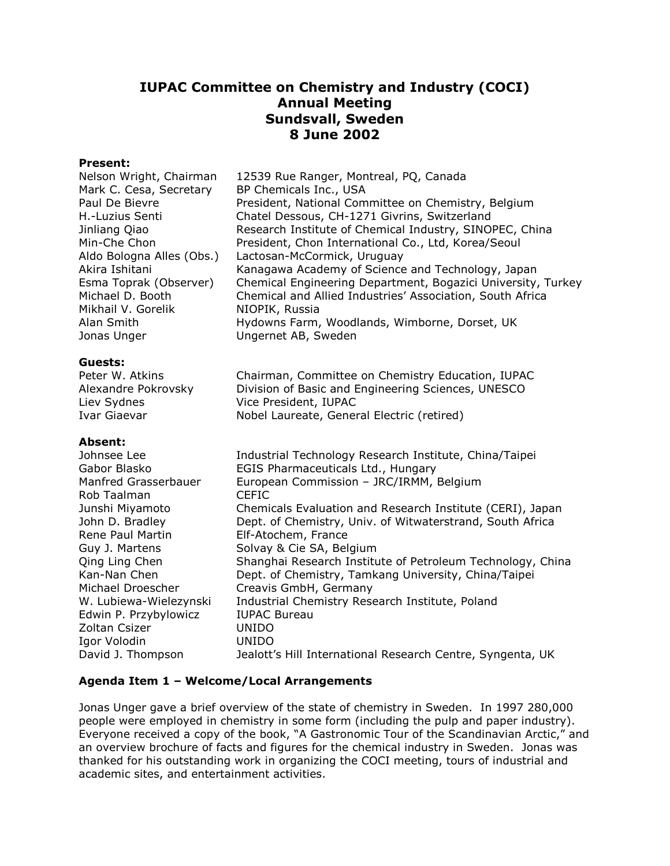# **IUPAC Committee on Chemistry and Industry (COCI) Annual Meeting Sundsvall, Sweden 8 June 2002**

# **Present:**

| ricsciil.<br>Nelson Wright, Chairman | 12539 Rue Ranger, Montreal, PQ, Canada                                           |
|--------------------------------------|----------------------------------------------------------------------------------|
| Mark C. Cesa, Secretary              | BP Chemicals Inc., USA                                                           |
| Paul De Bievre                       | President, National Committee on Chemistry, Belgium                              |
| H.-Luzius Senti                      | Chatel Dessous, CH-1271 Givrins, Switzerland                                     |
| Jinliang Qiao                        | Research Institute of Chemical Industry, SINOPEC, China                          |
| Min-Che Chon                         | President, Chon International Co., Ltd, Korea/Seoul                              |
| Aldo Bologna Alles (Obs.)            | Lactosan-McCormick, Uruguay                                                      |
| Akira Ishitani                       | Kanagawa Academy of Science and Technology, Japan                                |
| Esma Toprak (Observer)               | Chemical Engineering Department, Bogazici University, Turkey                     |
| Michael D. Booth                     | Chemical and Allied Industries' Association, South Africa                        |
| Mikhail V. Gorelik                   | NIOPIK, Russia                                                                   |
| Alan Smith<br>Jonas Unger            | Hydowns Farm, Woodlands, Wimborne, Dorset, UK<br>Ungernet AB, Sweden             |
|                                      |                                                                                  |
| Guests:                              |                                                                                  |
| Peter W. Atkins                      | Chairman, Committee on Chemistry Education, IUPAC                                |
| Alexandre Pokrovsky                  | Division of Basic and Engineering Sciences, UNESCO                               |
| Liev Sydnes                          | Vice President, IUPAC                                                            |
| <b>Ivar Giaevar</b>                  | Nobel Laureate, General Electric (retired)                                       |
| <b>Absent:</b>                       |                                                                                  |
| Johnsee Lee                          | Industrial Technology Research Institute, China/Taipei                           |
| Gabor Blasko                         | EGIS Pharmaceuticals Ltd., Hungary                                               |
| Manfred Grasserbauer                 | European Commission - JRC/IRMM, Belgium                                          |
| Rob Taalman                          | <b>CEFIC</b>                                                                     |
| Junshi Miyamoto                      | Chemicals Evaluation and Research Institute (CERI), Japan                        |
| John D. Bradley<br>Rene Paul Martin  | Dept. of Chemistry, Univ. of Witwaterstrand, South Africa<br>Elf-Atochem, France |
| Guy J. Martens                       | Solvay & Cie SA, Belgium                                                         |
| Qing Ling Chen                       | Shanghai Research Institute of Petroleum Technology, China                       |
| Kan-Nan Chen                         | Dept. of Chemistry, Tamkang University, China/Taipei                             |
| Michael Droescher                    | Creavis GmbH, Germany                                                            |
| W. Lubiewa-Wielezynski               | Industrial Chemistry Research Institute, Poland                                  |
| Edwin P. Przybylowicz                | <b>IUPAC Bureau</b>                                                              |
| Zoltan Csizer                        | <b>UNIDO</b>                                                                     |
| Igor Volodin                         | <b>UNIDO</b>                                                                     |
| David J. Thompson                    | Jealott's Hill International Research Centre, Syngenta, UK                       |
|                                      |                                                                                  |

## **Agenda Item 1 – Welcome/Local Arrangements**

Jonas Unger gave a brief overview of the state of chemistry in Sweden. In 1997 280,000 people were employed in chemistry in some form (including the pulp and paper industry). Everyone received a copy of the book, "A Gastronomic Tour of the Scandinavian Arctic," and an overview brochure of facts and figures for the chemical industry in Sweden. Jonas was thanked for his outstanding work in organizing the COCI meeting, tours of industrial and academic sites, and entertainment activities.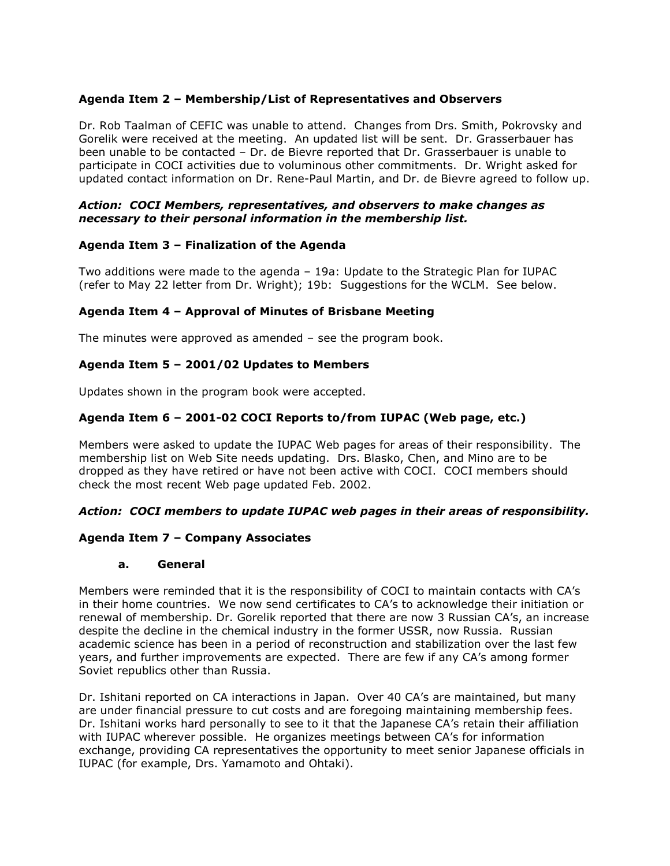# **Agenda Item 2 – Membership/List of Representatives and Observers**

Dr. Rob Taalman of CEFIC was unable to attend. Changes from Drs. Smith, Pokrovsky and Gorelik were received at the meeting. An updated list will be sent. Dr. Grasserbauer has been unable to be contacted – Dr. de Bievre reported that Dr. Grasserbauer is unable to participate in COCI activities due to voluminous other commitments. Dr. Wright asked for updated contact information on Dr. Rene-Paul Martin, and Dr. de Bievre agreed to follow up.

## *Action: COCI Members, representatives, and observers to make changes as necessary to their personal information in the membership list.*

## **Agenda Item 3 – Finalization of the Agenda**

Two additions were made to the agenda – 19a: Update to the Strategic Plan for IUPAC (refer to May 22 letter from Dr. Wright); 19b: Suggestions for the WCLM. See below.

## **Agenda Item 4 – Approval of Minutes of Brisbane Meeting**

The minutes were approved as amended – see the program book.

# **Agenda Item 5 – 2001/02 Updates to Members**

Updates shown in the program book were accepted.

# **Agenda Item 6 – 2001-02 COCI Reports to/from IUPAC (Web page, etc.)**

Members were asked to update the IUPAC Web pages for areas of their responsibility. The membership list on Web Site needs updating. Drs. Blasko, Chen, and Mino are to be dropped as they have retired or have not been active with COCI. COCI members should check the most recent Web page updated Feb. 2002.

## *Action: COCI members to update IUPAC web pages in their areas of responsibility.*

## **Agenda Item 7 – Company Associates**

## **a. General**

Members were reminded that it is the responsibility of COCI to maintain contacts with CA's in their home countries. We now send certificates to CA's to acknowledge their initiation or renewal of membership. Dr. Gorelik reported that there are now 3 Russian CA's, an increase despite the decline in the chemical industry in the former USSR, now Russia. Russian academic science has been in a period of reconstruction and stabilization over the last few years, and further improvements are expected. There are few if any CA's among former Soviet republics other than Russia.

Dr. Ishitani reported on CA interactions in Japan. Over 40 CA's are maintained, but many are under financial pressure to cut costs and are foregoing maintaining membership fees. Dr. Ishitani works hard personally to see to it that the Japanese CA's retain their affiliation with IUPAC wherever possible. He organizes meetings between CA's for information exchange, providing CA representatives the opportunity to meet senior Japanese officials in IUPAC (for example, Drs. Yamamoto and Ohtaki).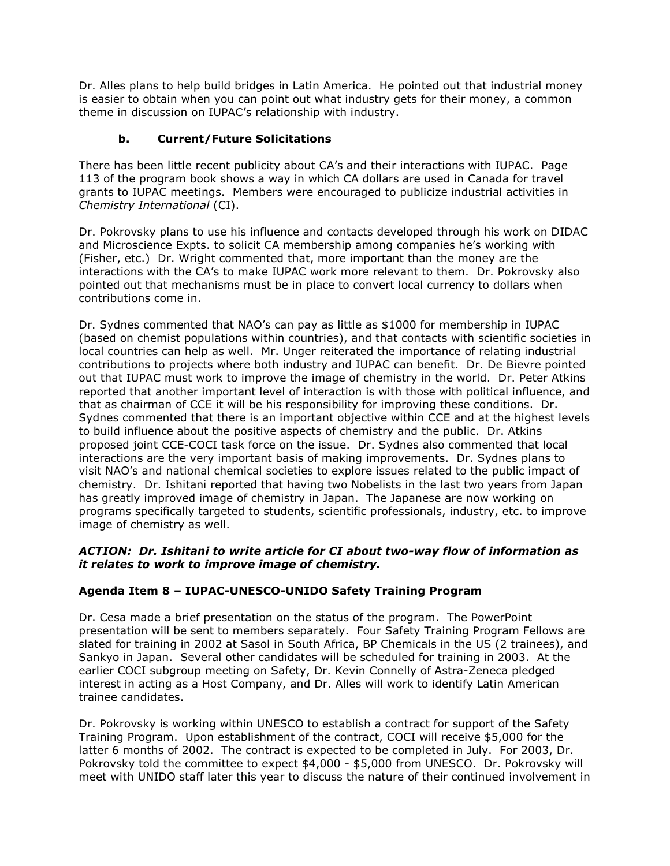Dr. Alles plans to help build bridges in Latin America. He pointed out that industrial money is easier to obtain when you can point out what industry gets for their money, a common theme in discussion on IUPAC's relationship with industry.

# **b. Current/Future Solicitations**

There has been little recent publicity about CA's and their interactions with IUPAC. Page 113 of the program book shows a way in which CA dollars are used in Canada for travel grants to IUPAC meetings. Members were encouraged to publicize industrial activities in *Chemistry International* (CI).

Dr. Pokrovsky plans to use his influence and contacts developed through his work on DIDAC and Microscience Expts. to solicit CA membership among companies he's working with (Fisher, etc.) Dr. Wright commented that, more important than the money are the interactions with the CA's to make IUPAC work more relevant to them. Dr. Pokrovsky also pointed out that mechanisms must be in place to convert local currency to dollars when contributions come in.

Dr. Sydnes commented that NAO's can pay as little as \$1000 for membership in IUPAC (based on chemist populations within countries), and that contacts with scientific societies in local countries can help as well. Mr. Unger reiterated the importance of relating industrial contributions to projects where both industry and IUPAC can benefit. Dr. De Bievre pointed out that IUPAC must work to improve the image of chemistry in the world. Dr. Peter Atkins reported that another important level of interaction is with those with political influence, and that as chairman of CCE it will be his responsibility for improving these conditions. Dr. Sydnes commented that there is an important objective within CCE and at the highest levels to build influence about the positive aspects of chemistry and the public. Dr. Atkins proposed joint CCE-COCI task force on the issue. Dr. Sydnes also commented that local interactions are the very important basis of making improvements. Dr. Sydnes plans to visit NAO's and national chemical societies to explore issues related to the public impact of chemistry. Dr. Ishitani reported that having two Nobelists in the last two years from Japan has greatly improved image of chemistry in Japan. The Japanese are now working on programs specifically targeted to students, scientific professionals, industry, etc. to improve image of chemistry as well.

# *ACTION: Dr. Ishitani to write article for CI about two-way flow of information as it relates to work to improve image of chemistry.*

# **Agenda Item 8 – IUPAC-UNESCO-UNIDO Safety Training Program**

Dr. Cesa made a brief presentation on the status of the program. The PowerPoint presentation will be sent to members separately. Four Safety Training Program Fellows are slated for training in 2002 at Sasol in South Africa, BP Chemicals in the US (2 trainees), and Sankyo in Japan. Several other candidates will be scheduled for training in 2003. At the earlier COCI subgroup meeting on Safety, Dr. Kevin Connelly of Astra-Zeneca pledged interest in acting as a Host Company, and Dr. Alles will work to identify Latin American trainee candidates.

Dr. Pokrovsky is working within UNESCO to establish a contract for support of the Safety Training Program. Upon establishment of the contract, COCI will receive \$5,000 for the latter 6 months of 2002. The contract is expected to be completed in July. For 2003, Dr. Pokrovsky told the committee to expect \$4,000 - \$5,000 from UNESCO. Dr. Pokrovsky will meet with UNIDO staff later this year to discuss the nature of their continued involvement in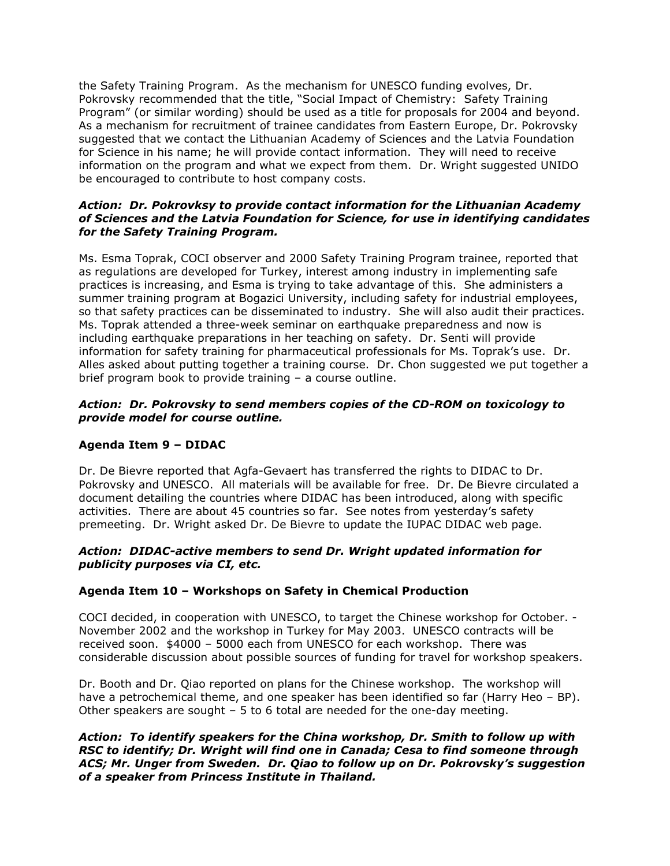the Safety Training Program. As the mechanism for UNESCO funding evolves, Dr. Pokrovsky recommended that the title, "Social Impact of Chemistry: Safety Training Program" (or similar wording) should be used as a title for proposals for 2004 and beyond. As a mechanism for recruitment of trainee candidates from Eastern Europe, Dr. Pokrovsky suggested that we contact the Lithuanian Academy of Sciences and the Latvia Foundation for Science in his name; he will provide contact information. They will need to receive information on the program and what we expect from them. Dr. Wright suggested UNIDO be encouraged to contribute to host company costs.

# *Action: Dr. Pokrovksy to provide contact information for the Lithuanian Academy of Sciences and the Latvia Foundation for Science, for use in identifying candidates for the Safety Training Program.*

Ms. Esma Toprak, COCI observer and 2000 Safety Training Program trainee, reported that as regulations are developed for Turkey, interest among industry in implementing safe practices is increasing, and Esma is trying to take advantage of this. She administers a summer training program at Bogazici University, including safety for industrial employees, so that safety practices can be disseminated to industry. She will also audit their practices. Ms. Toprak attended a three-week seminar on earthquake preparedness and now is including earthquake preparations in her teaching on safety. Dr. Senti will provide information for safety training for pharmaceutical professionals for Ms. Toprak's use. Dr. Alles asked about putting together a training course. Dr. Chon suggested we put together a brief program book to provide training – a course outline.

# *Action: Dr. Pokrovsky to send members copies of the CD-ROM on toxicology to provide model for course outline.*

# **Agenda Item 9 – DIDAC**

Dr. De Bievre reported that Agfa-Gevaert has transferred the rights to DIDAC to Dr. Pokrovsky and UNESCO. All materials will be available for free. Dr. De Bievre circulated a document detailing the countries where DIDAC has been introduced, along with specific activities. There are about 45 countries so far. See notes from yesterday's safety premeeting. Dr. Wright asked Dr. De Bievre to update the IUPAC DIDAC web page.

## *Action: DIDAC-active members to send Dr. Wright updated information for publicity purposes via CI, etc.*

## **Agenda Item 10 – Workshops on Safety in Chemical Production**

COCI decided, in cooperation with UNESCO, to target the Chinese workshop for October. - November 2002 and the workshop in Turkey for May 2003. UNESCO contracts will be received soon. \$4000 – 5000 each from UNESCO for each workshop. There was considerable discussion about possible sources of funding for travel for workshop speakers.

Dr. Booth and Dr. Qiao reported on plans for the Chinese workshop. The workshop will have a petrochemical theme, and one speaker has been identified so far (Harry Heo – BP). Other speakers are sought – 5 to 6 total are needed for the one-day meeting.

*Action: To identify speakers for the China workshop, Dr. Smith to follow up with RSC to identify; Dr. Wright will find one in Canada; Cesa to find someone through ACS; Mr. Unger from Sweden. Dr. Qiao to follow up on Dr. Pokrovsky's suggestion of a speaker from Princess Institute in Thailand.*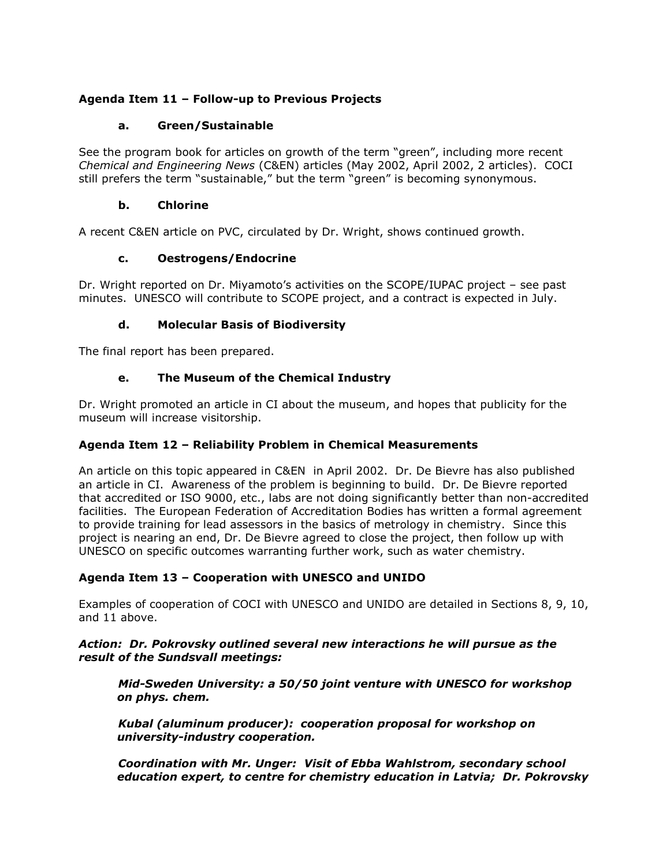# **Agenda Item 11 – Follow-up to Previous Projects**

# **a. Green/Sustainable**

See the program book for articles on growth of the term "green", including more recent *Chemical and Engineering News* (C&EN) articles (May 2002, April 2002, 2 articles). COCI still prefers the term "sustainable," but the term "green" is becoming synonymous.

# **b. Chlorine**

A recent C&EN article on PVC, circulated by Dr. Wright, shows continued growth.

# **c. Oestrogens/Endocrine**

Dr. Wright reported on Dr. Miyamoto's activities on the SCOPE/IUPAC project – see past minutes. UNESCO will contribute to SCOPE project, and a contract is expected in July.

# **d. Molecular Basis of Biodiversity**

The final report has been prepared.

# **e. The Museum of the Chemical Industry**

Dr. Wright promoted an article in CI about the museum, and hopes that publicity for the museum will increase visitorship.

# **Agenda Item 12 – Reliability Problem in Chemical Measurements**

An article on this topic appeared in C&EN in April 2002. Dr. De Bievre has also published an article in CI. Awareness of the problem is beginning to build. Dr. De Bievre reported that accredited or ISO 9000, etc., labs are not doing significantly better than non-accredited facilities. The European Federation of Accreditation Bodies has written a formal agreement to provide training for lead assessors in the basics of metrology in chemistry. Since this project is nearing an end, Dr. De Bievre agreed to close the project, then follow up with UNESCO on specific outcomes warranting further work, such as water chemistry.

# **Agenda Item 13 – Cooperation with UNESCO and UNIDO**

Examples of cooperation of COCI with UNESCO and UNIDO are detailed in Sections 8, 9, 10, and 11 above.

# *Action: Dr. Pokrovsky outlined several new interactions he will pursue as the result of the Sundsvall meetings:*

*Mid-Sweden University: a 50/50 joint venture with UNESCO for workshop on phys. chem.*

*Kubal (aluminum producer): cooperation proposal for workshop on university-industry cooperation.*

*Coordination with Mr. Unger: Visit of Ebba Wahlstrom, secondary school education expert, to centre for chemistry education in Latvia; Dr. Pokrovsky*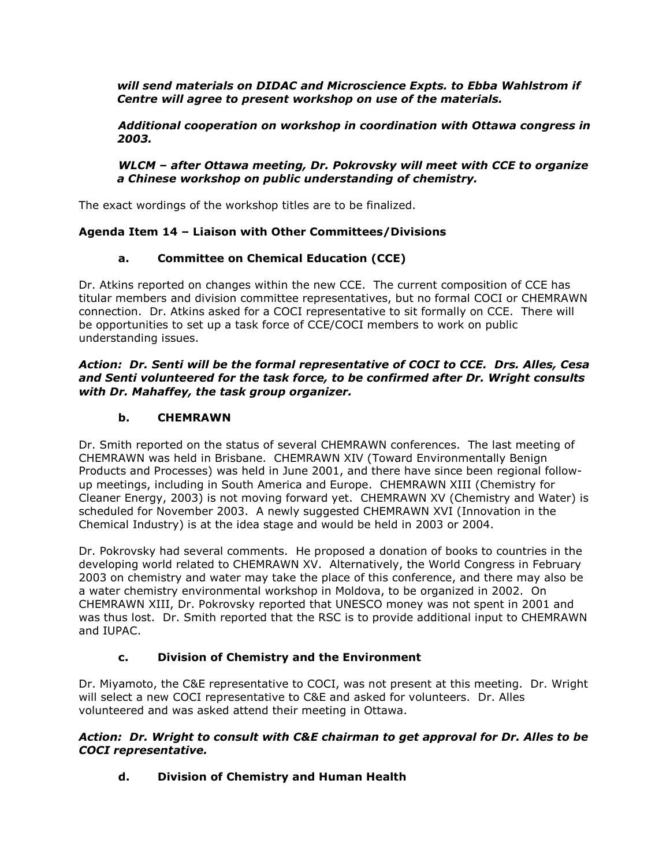*will send materials on DIDAC and Microscience Expts. to Ebba Wahlstrom if Centre will agree to present workshop on use of the materials.*

*Additional cooperation on workshop in coordination with Ottawa congress in 2003.*

# *WLCM – after Ottawa meeting, Dr. Pokrovsky will meet with CCE to organize a Chinese workshop on public understanding of chemistry.*

The exact wordings of the workshop titles are to be finalized.

# **Agenda Item 14 – Liaison with Other Committees/Divisions**

# **a. Committee on Chemical Education (CCE)**

Dr. Atkins reported on changes within the new CCE. The current composition of CCE has titular members and division committee representatives, but no formal COCI or CHEMRAWN connection. Dr. Atkins asked for a COCI representative to sit formally on CCE. There will be opportunities to set up a task force of CCE/COCI members to work on public understanding issues.

#### *Action: Dr. Senti will be the formal representative of COCI to CCE. Drs. Alles, Cesa and Senti volunteered for the task force, to be confirmed after Dr. Wright consults with Dr. Mahaffey, the task group organizer.*

# **b. CHEMRAWN**

Dr. Smith reported on the status of several CHEMRAWN conferences. The last meeting of CHEMRAWN was held in Brisbane. CHEMRAWN XIV (Toward Environmentally Benign Products and Processes) was held in June 2001, and there have since been regional followup meetings, including in South America and Europe. CHEMRAWN XIII (Chemistry for Cleaner Energy, 2003) is not moving forward yet. CHEMRAWN XV (Chemistry and Water) is scheduled for November 2003. A newly suggested CHEMRAWN XVI (Innovation in the Chemical Industry) is at the idea stage and would be held in 2003 or 2004.

Dr. Pokrovsky had several comments. He proposed a donation of books to countries in the developing world related to CHEMRAWN XV. Alternatively, the World Congress in February 2003 on chemistry and water may take the place of this conference, and there may also be a water chemistry environmental workshop in Moldova, to be organized in 2002. On CHEMRAWN XIII, Dr. Pokrovsky reported that UNESCO money was not spent in 2001 and was thus lost. Dr. Smith reported that the RSC is to provide additional input to CHEMRAWN and IUPAC.

# **c. Division of Chemistry and the Environment**

Dr. Miyamoto, the C&E representative to COCI, was not present at this meeting. Dr. Wright will select a new COCI representative to C&E and asked for volunteers. Dr. Alles volunteered and was asked attend their meeting in Ottawa.

# *Action: Dr. Wright to consult with C&E chairman to get approval for Dr. Alles to be COCI representative.*

# **d. Division of Chemistry and Human Health**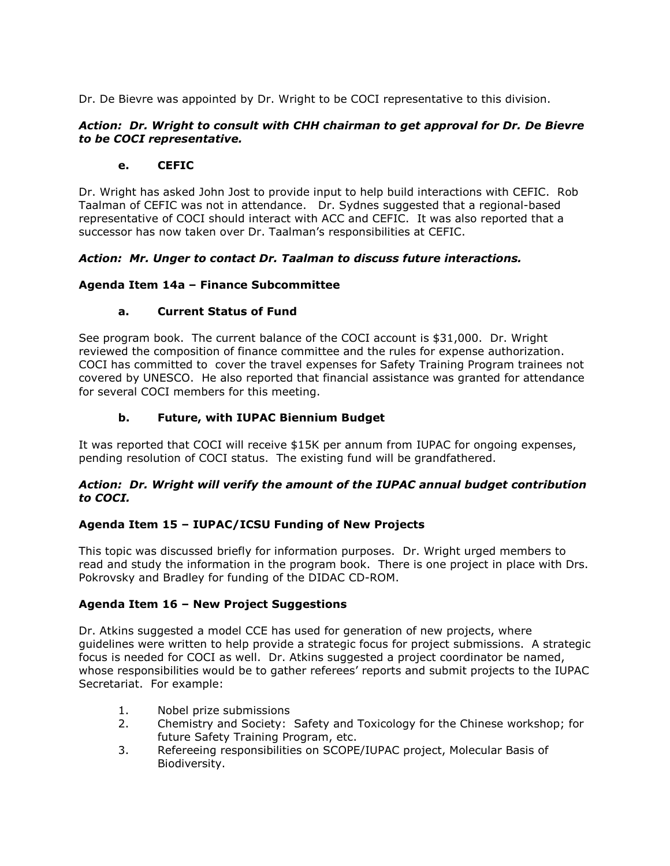Dr. De Bievre was appointed by Dr. Wright to be COCI representative to this division.

# *Action: Dr. Wright to consult with CHH chairman to get approval for Dr. De Bievre to be COCI representative.*

# **e. CEFIC**

Dr. Wright has asked John Jost to provide input to help build interactions with CEFIC. Rob Taalman of CEFIC was not in attendance. Dr. Sydnes suggested that a regional-based representative of COCI should interact with ACC and CEFIC. It was also reported that a successor has now taken over Dr. Taalman's responsibilities at CEFIC.

# *Action: Mr. Unger to contact Dr. Taalman to discuss future interactions.*

# **Agenda Item 14a – Finance Subcommittee**

# **a. Current Status of Fund**

See program book. The current balance of the COCI account is \$31,000. Dr. Wright reviewed the composition of finance committee and the rules for expense authorization. COCI has committed to cover the travel expenses for Safety Training Program trainees not covered by UNESCO. He also reported that financial assistance was granted for attendance for several COCI members for this meeting.

# **b. Future, with IUPAC Biennium Budget**

It was reported that COCI will receive \$15K per annum from IUPAC for ongoing expenses, pending resolution of COCI status. The existing fund will be grandfathered.

## *Action: Dr. Wright will verify the amount of the IUPAC annual budget contribution to COCI.*

# **Agenda Item 15 – IUPAC/ICSU Funding of New Projects**

This topic was discussed briefly for information purposes. Dr. Wright urged members to read and study the information in the program book. There is one project in place with Drs. Pokrovsky and Bradley for funding of the DIDAC CD-ROM.

## **Agenda Item 16 – New Project Suggestions**

Dr. Atkins suggested a model CCE has used for generation of new projects, where guidelines were written to help provide a strategic focus for project submissions. A strategic focus is needed for COCI as well. Dr. Atkins suggested a project coordinator be named, whose responsibilities would be to gather referees' reports and submit projects to the IUPAC Secretariat. For example:

- 1. Nobel prize submissions
- 2. Chemistry and Society: Safety and Toxicology for the Chinese workshop; for future Safety Training Program, etc.
- 3. Refereeing responsibilities on SCOPE/IUPAC project, Molecular Basis of Biodiversity.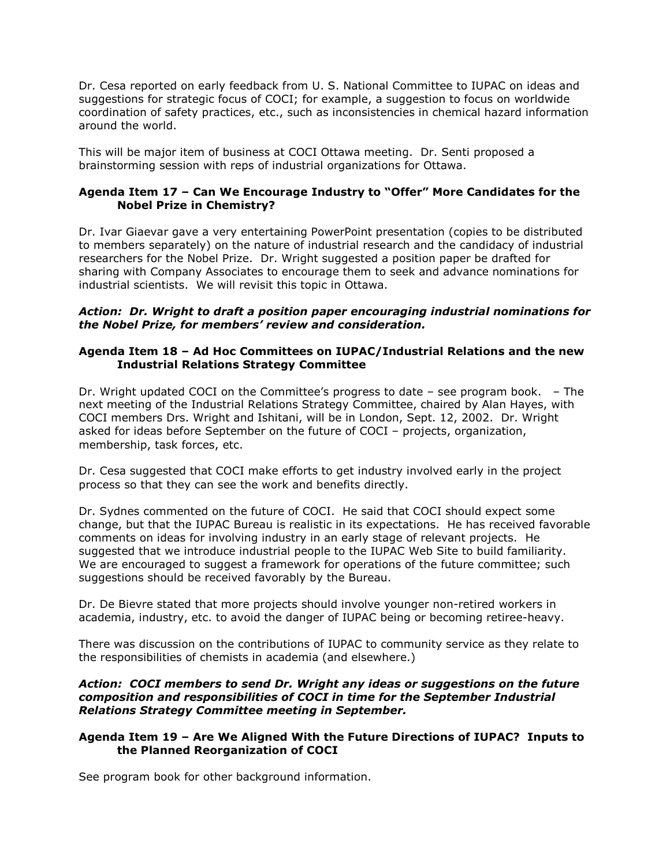Dr. Cesa reported on early feedback from U. S. National Committee to IUPAC on ideas and suggestions for strategic focus of COCI; for example, a suggestion to focus on worldwide coordination of safety practices, etc., such as inconsistencies in chemical hazard information around the world.

This will be major item of business at COCI Ottawa meeting. Dr. Senti proposed a brainstorming session with reps of industrial organizations for Ottawa.

# **Agenda Item 17 – Can We Encourage Industry to "Offer" More Candidates for the Nobel Prize in Chemistry?**

Dr. Ivar Giaevar gave a very entertaining PowerPoint presentation (copies to be distributed to members separately) on the nature of industrial research and the candidacy of industrial researchers for the Nobel Prize. Dr. Wright suggested a position paper be drafted for sharing with Company Associates to encourage them to seek and advance nominations for industrial scientists. We will revisit this topic in Ottawa.

#### *Action: Dr. Wright to draft a position paper encouraging industrial nominations for the Nobel Prize, for members' review and consideration.*

## **Agenda Item 18 – Ad Hoc Committees on IUPAC/Industrial Relations and the new Industrial Relations Strategy Committee**

Dr. Wright updated COCI on the Committee's progress to date – see program book. – The next meeting of the Industrial Relations Strategy Committee, chaired by Alan Hayes, with COCI members Drs. Wright and Ishitani, will be in London, Sept. 12, 2002. Dr. Wright asked for ideas before September on the future of COCI – projects, organization, membership, task forces, etc.

Dr. Cesa suggested that COCI make efforts to get industry involved early in the project process so that they can see the work and benefits directly.

Dr. Sydnes commented on the future of COCI. He said that COCI should expect some change, but that the IUPAC Bureau is realistic in its expectations. He has received favorable comments on ideas for involving industry in an early stage of relevant projects. He suggested that we introduce industrial people to the IUPAC Web Site to build familiarity. We are encouraged to suggest a framework for operations of the future committee; such suggestions should be received favorably by the Bureau.

Dr. De Bievre stated that more projects should involve younger non-retired workers in academia, industry, etc. to avoid the danger of IUPAC being or becoming retiree-heavy.

There was discussion on the contributions of IUPAC to community service as they relate to the responsibilities of chemists in academia (and elsewhere.)

#### *Action: COCI members to send Dr. Wright any ideas or suggestions on the future composition and responsibilities of COCI in time for the September Industrial Relations Strategy Committee meeting in September.*

## **Agenda Item 19 – Are We Aligned With the Future Directions of IUPAC? Inputs to the Planned Reorganization of COCI**

See program book for other background information.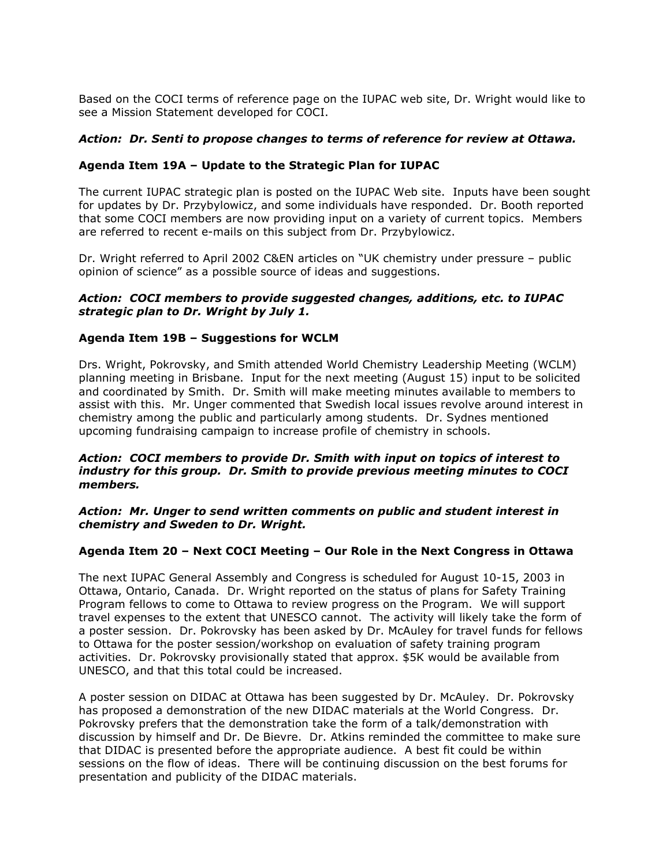Based on the COCI terms of reference page on the IUPAC web site, Dr. Wright would like to see a Mission Statement developed for COCI.

## *Action: Dr. Senti to propose changes to terms of reference for review at Ottawa.*

# **Agenda Item 19A – Update to the Strategic Plan for IUPAC**

The current IUPAC strategic plan is posted on the IUPAC Web site. Inputs have been sought for updates by Dr. Przybylowicz, and some individuals have responded. Dr. Booth reported that some COCI members are now providing input on a variety of current topics. Members are referred to recent e-mails on this subject from Dr. Przybylowicz.

Dr. Wright referred to April 2002 C&EN articles on "UK chemistry under pressure – public opinion of science" as a possible source of ideas and suggestions.

## *Action: COCI members to provide suggested changes, additions, etc. to IUPAC strategic plan to Dr. Wright by July 1.*

# **Agenda Item 19B – Suggestions for WCLM**

Drs. Wright, Pokrovsky, and Smith attended World Chemistry Leadership Meeting (WCLM) planning meeting in Brisbane. Input for the next meeting (August 15) input to be solicited and coordinated by Smith. Dr. Smith will make meeting minutes available to members to assist with this. Mr. Unger commented that Swedish local issues revolve around interest in chemistry among the public and particularly among students. Dr. Sydnes mentioned upcoming fundraising campaign to increase profile of chemistry in schools.

## *Action: COCI members to provide Dr. Smith with input on topics of interest to industry for this group. Dr. Smith to provide previous meeting minutes to COCI members.*

#### *Action: Mr. Unger to send written comments on public and student interest in chemistry and Sweden to Dr. Wright.*

## **Agenda Item 20 – Next COCI Meeting – Our Role in the Next Congress in Ottawa**

The next IUPAC General Assembly and Congress is scheduled for August 10-15, 2003 in Ottawa, Ontario, Canada. Dr. Wright reported on the status of plans for Safety Training Program fellows to come to Ottawa to review progress on the Program. We will support travel expenses to the extent that UNESCO cannot. The activity will likely take the form of a poster session. Dr. Pokrovsky has been asked by Dr. McAuley for travel funds for fellows to Ottawa for the poster session/workshop on evaluation of safety training program activities. Dr. Pokrovsky provisionally stated that approx. \$5K would be available from UNESCO, and that this total could be increased.

A poster session on DIDAC at Ottawa has been suggested by Dr. McAuley. Dr. Pokrovsky has proposed a demonstration of the new DIDAC materials at the World Congress. Dr. Pokrovsky prefers that the demonstration take the form of a talk/demonstration with discussion by himself and Dr. De Bievre. Dr. Atkins reminded the committee to make sure that DIDAC is presented before the appropriate audience. A best fit could be within sessions on the flow of ideas. There will be continuing discussion on the best forums for presentation and publicity of the DIDAC materials.